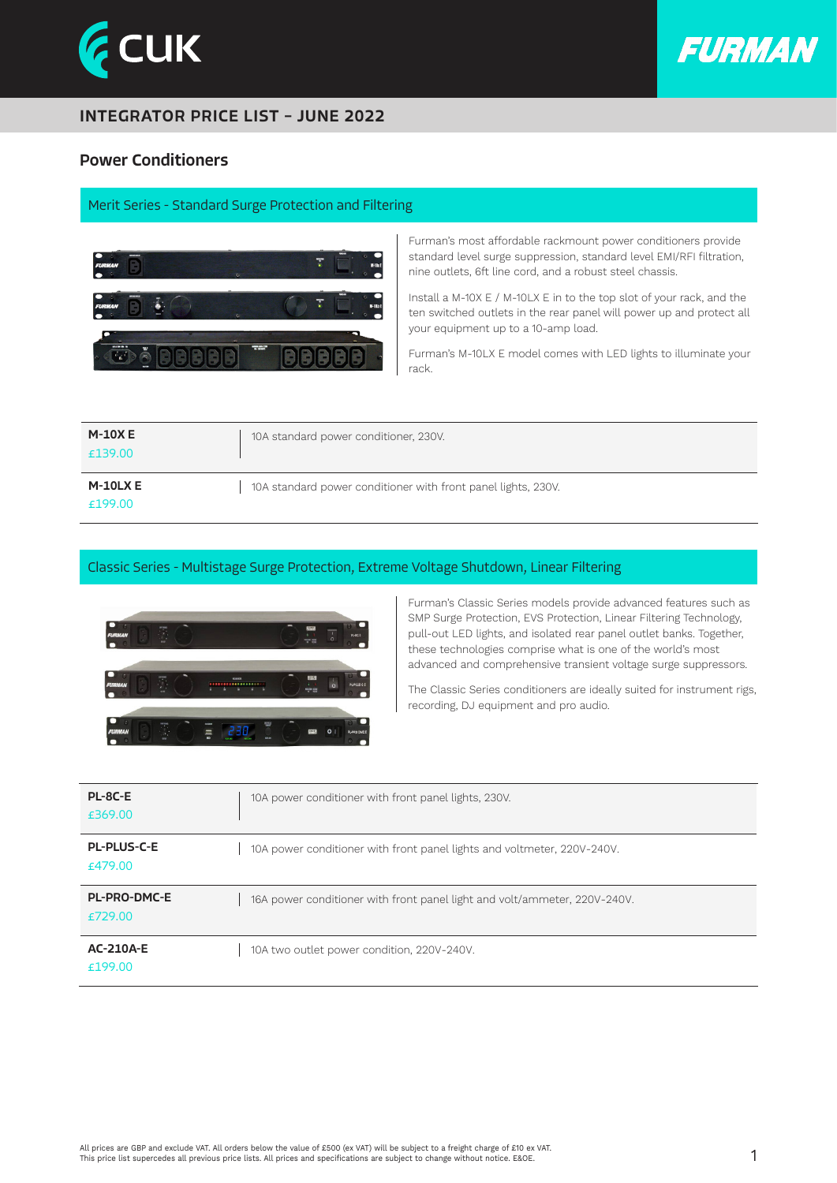



### INTEGRATOR PRICE LIST – JUNE 2022

### Power Conditioners

#### Merit Series - Standard Surge Protection and Filtering



Furman's most affordable rackmount power conditioners provide standard level surge suppression, standard level EMI/RFI filtration, nine outlets, 6ft line cord, and a robust steel chassis.

Install a M-10X E / M-10LX E in to the top slot of your rack, and the ten switched outlets in the rear panel will power up and protect all your equipment up to a 10-amp load.

Furman's M-10LX E model comes with LED lights to illuminate your rack.

| <b>M-10XE</b><br>£139.00 | 10A standard power conditioner, 230V.                         |
|--------------------------|---------------------------------------------------------------|
| $M-10LX E$<br>£199.00    | 10A standard power conditioner with front panel lights, 230V. |

#### Classic Series - Multistage Surge Protection, Extreme Voltage Shutdown, Linear Filtering



Furman's Classic Series models provide advanced features such as SMP Surge Protection, EVS Protection, Linear Filtering Technology, pull-out LED lights, and isolated rear panel outlet banks. Together, these technologies comprise what is one of the world's most advanced and comprehensive transient voltage surge suppressors.

The Classic Series conditioners are ideally suited for instrument rigs, recording, DJ equipment and pro audio.

| PL-8C-E<br>£369.00             | 10A power conditioner with front panel lights, 230V.                      |
|--------------------------------|---------------------------------------------------------------------------|
| <b>PL-PLUS-C-E</b><br>£479.00  | 10A power conditioner with front panel lights and voltmeter, 220V-240V.   |
| <b>PL-PRO-DMC-E</b><br>£729.00 | 16A power conditioner with front panel light and volt/ammeter, 220V-240V. |
| <b>AC-210A-E</b><br>£199.00    | 10A two outlet power condition, 220V-240V.                                |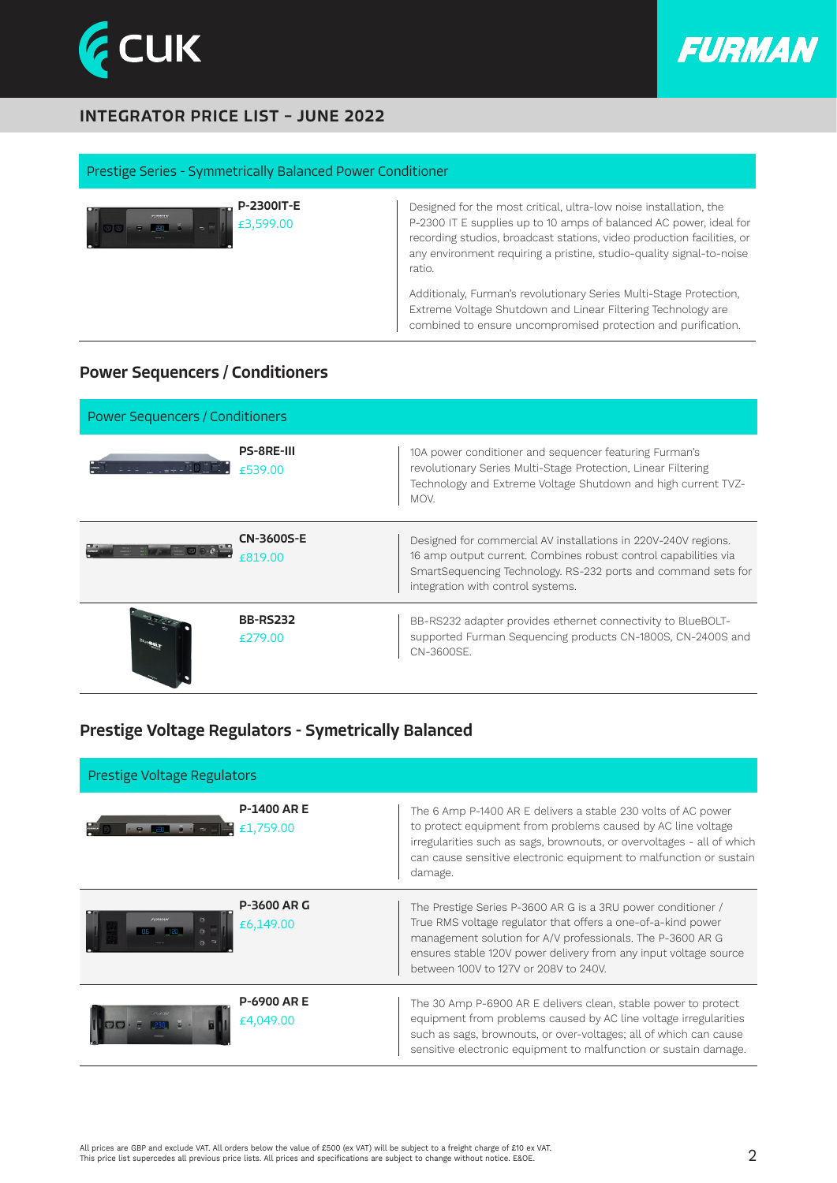



## INTEGRATOR PRICE LIST – JUNE 2022

#### Prestige Series - Symmetrically Balanced Power Conditioner

| <b>P-2300IT-E</b><br>EURMAN<br>$\mathsf{L}$ £3.599.00 | Designed for the most critical, ultra-low noise installation, the<br>P-2300 IT E supplies up to 10 amps of balanced AC power, ideal for<br>recording studios, broadcast stations, video production facilities, or<br>any environment requiring a pristine, studio-quality signal-to-noise<br>ratio. |
|-------------------------------------------------------|-----------------------------------------------------------------------------------------------------------------------------------------------------------------------------------------------------------------------------------------------------------------------------------------------------|
|                                                       | Additionaly, Furman's revolutionary Series Multi-Stage Protection,<br>Extreme Voltage Shutdown and Linear Filtering Technology are<br>combined to ensure uncompromised protection and purification.                                                                                                 |

# Power Sequencers / Conditioners

| <b>Power Sequencers / Conditioners</b> |                              |                                                                                                                                                                                                                                         |  |  |
|----------------------------------------|------------------------------|-----------------------------------------------------------------------------------------------------------------------------------------------------------------------------------------------------------------------------------------|--|--|
|                                        | <b>PS-8RE-III</b><br>£539.00 | 10A power conditioner and sequencer featuring Furman's<br>revolutionary Series Multi-Stage Protection, Linear Filtering<br>Technology and Extreme Voltage Shutdown and high current TVZ-<br>MOV.                                        |  |  |
|                                        | <b>CN-3600S-E</b><br>£819.00 | Designed for commercial AV installations in 220V-240V regions.<br>16 amp output current. Combines robust control capabilities via<br>SmartSequencing Technology. RS-232 ports and command sets for<br>integration with control systems. |  |  |
|                                        | <b>BB-RS232</b><br>f279.00   | BB-RS232 adapter provides ethernet connectivity to BlueBOLT-<br>supported Furman Sequencing products CN-1800S, CN-2400S and<br>CN-3600SF.                                                                                               |  |  |

## Prestige Voltage Regulators - Symetrically Balanced

| Prestige Voltage Regulators |                                 |                                                                                                                                                                                                                                                                                                         |  |  |
|-----------------------------|---------------------------------|---------------------------------------------------------------------------------------------------------------------------------------------------------------------------------------------------------------------------------------------------------------------------------------------------------|--|--|
|                             | <b>P-1400 ARE</b><br>£1,759.00  | The 6 Amp P-1400 AR E delivers a stable 230 volts of AC power<br>to protect equipment from problems caused by AC line voltage<br>irregularities such as sags, brownouts, or overvoltages - all of which<br>can cause sensitive electronic equipment to malfunction or sustain<br>damage.                |  |  |
|                             | <b>P-3600 AR G</b><br>£6,149.00 | The Prestige Series P-3600 AR G is a 3RU power conditioner /<br>True RMS voltage regulator that offers a one-of-a-kind power<br>management solution for A/V professionals. The P-3600 AR G<br>ensures stable 120V power delivery from any input voltage source<br>between 100V to 127V or 208V to 240V. |  |  |
| $\bullet$ $\bullet$ $\cdot$ | <b>P-6900 AR E</b><br>£4,049.00 | The 30 Amp P-6900 AR E delivers clean, stable power to protect<br>equipment from problems caused by AC line voltage irregularities<br>such as sags, brownouts, or over-voltages; all of which can cause<br>sensitive electronic equipment to malfunction or sustain damage.                             |  |  |